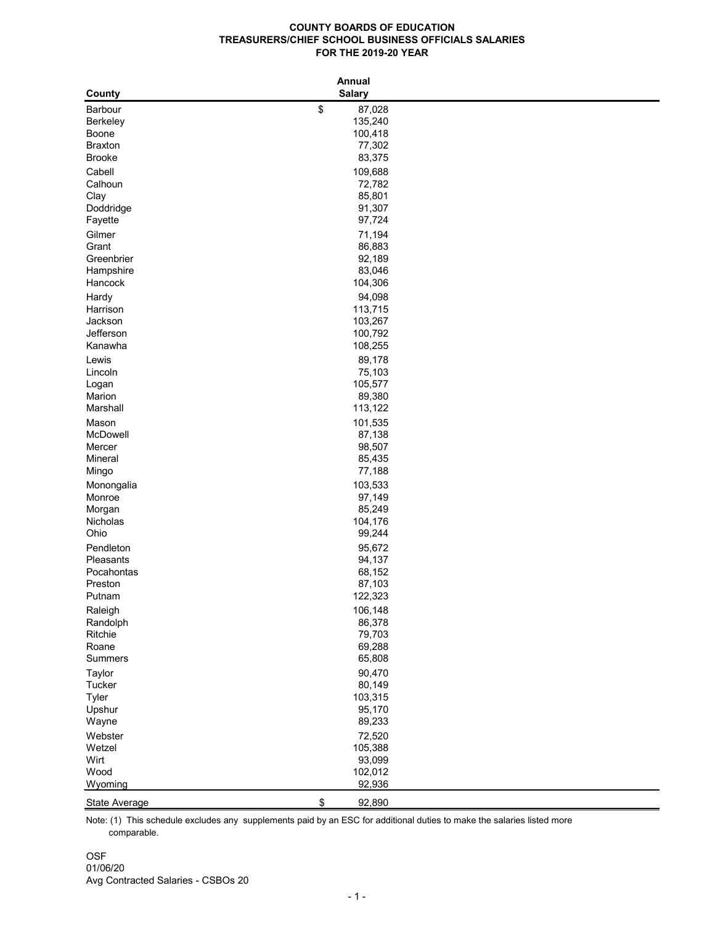## **COUNTY BOARDS OF EDUCATION TREASURERS/CHIEF SCHOOL BUSINESS OFFICIALS SALARIES FOR THE 2019-20 YEAR**

| County                          |                   | <b>Annual</b><br><b>Salary</b> |  |
|---------------------------------|-------------------|--------------------------------|--|
|                                 |                   |                                |  |
| <b>Barbour</b>                  | \$                | 87,028                         |  |
| <b>Berkeley</b>                 |                   | 135,240                        |  |
| <b>Boone</b>                    |                   | 100,418                        |  |
| <b>Braxton</b><br><b>Brooke</b> |                   | 77,302<br>83,375               |  |
|                                 |                   |                                |  |
| Cabell                          |                   | 109,688                        |  |
| Calhoun                         |                   | 72,782                         |  |
| Clay                            |                   | 85,801                         |  |
| Doddridge                       |                   | 91,307<br>97,724               |  |
| Fayette                         |                   |                                |  |
| Gilmer                          |                   | 71,194                         |  |
| Grant<br>Greenbrier             |                   | 86,883<br>92,189               |  |
|                                 |                   | 83,046                         |  |
| Hampshire<br>Hancock            |                   | 104,306                        |  |
|                                 |                   |                                |  |
| Hardy                           |                   | 94,098                         |  |
| Harrison<br>Jackson             |                   | 113,715                        |  |
| Jefferson                       |                   | 103,267<br>100,792             |  |
| Kanawha                         |                   | 108,255                        |  |
| Lewis                           |                   |                                |  |
| Lincoln                         |                   | 89,178<br>75,103               |  |
|                                 |                   | 105,577                        |  |
| Logan<br>Marion                 |                   | 89,380                         |  |
| Marshall                        |                   | 113,122                        |  |
| Mason                           |                   | 101,535                        |  |
| McDowell                        |                   | 87,138                         |  |
| Mercer                          |                   | 98,507                         |  |
| Mineral                         |                   | 85,435                         |  |
| Mingo                           |                   | 77,188                         |  |
| Monongalia                      |                   | 103,533                        |  |
| Monroe                          |                   | 97,149                         |  |
| Morgan                          |                   | 85,249                         |  |
| Nicholas                        |                   | 104,176                        |  |
| Ohio                            |                   | 99,244                         |  |
| Pendleton                       |                   | 95,672                         |  |
| Pleasants                       |                   | 94,137                         |  |
| Pocahontas                      |                   | 68,152                         |  |
| Preston                         |                   | 87,103                         |  |
| Putnam                          |                   | 122,323                        |  |
| Raleigh                         |                   | 106,148                        |  |
| Randolph                        |                   | 86,378                         |  |
| Ritchie                         |                   | 79,703                         |  |
| Roane                           |                   | 69,288                         |  |
| <b>Summers</b>                  |                   | 65,808                         |  |
| <b>Taylor</b>                   |                   | 90,470                         |  |
| Tucker                          |                   | 80,149                         |  |
| <b>Tyler</b>                    |                   | 103,315                        |  |
| Upshur                          |                   | 95,170                         |  |
| Wayne                           |                   | 89,233                         |  |
| Webster                         |                   | 72,520                         |  |
| Wetzel                          |                   | 105,388                        |  |
| Wirt                            |                   | 93,099                         |  |
| Wood                            |                   | 102,012                        |  |
| Wyoming                         |                   | 92,936                         |  |
| <b>State Average</b>            | $\boldsymbol{\$}$ | 92,890                         |  |

 comparable. Note: (1) This schedule excludes any supplements paid by an ESC for additional duties to make the salaries listed more